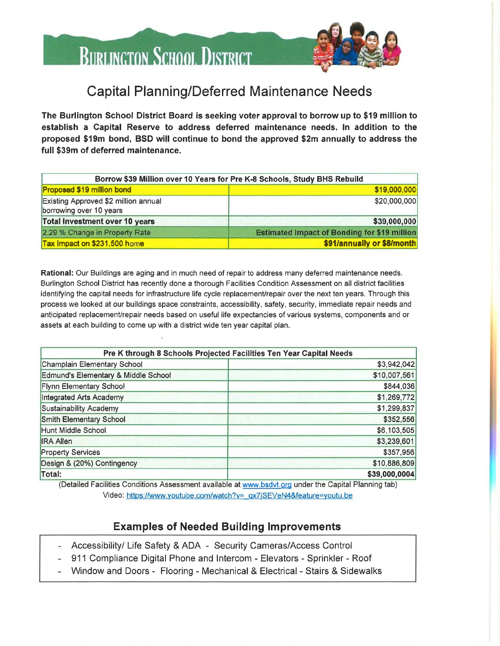

### Capital Planning/Deferred Maintenance Needs

 $\frac{1}{2}$ 

 $\leq$ 

The Burlington School District Board is seeking voter approval to borrow up to \$19 million to establish a Capital Reserve to address deferred maintenance needs. ln addition to the proposed \$l9m bond, BSD will continue to bond the approved \$2m annually to address the full \$39m of deferred maintenance.

| Borrow \$39 Million over 10 Years for Pre K-8 Schools, Study BHS Rebuild |                                                     |  |
|--------------------------------------------------------------------------|-----------------------------------------------------|--|
| <b>Proposed \$19 million bond</b>                                        | \$19,000,000                                        |  |
| Existing Approved \$2 million annual<br>borrowing over 10 years          | \$20,000,000                                        |  |
| Total Investment over 10 years                                           | \$39,000,000                                        |  |
| 2.29 % Change in Property Rate                                           | <b>Estimated Impact of Bonding for \$19 million</b> |  |
| Tax Impact on \$231,500 home                                             | \$91/annually or \$8/month                          |  |

Rational: Our Buildings are aging and in much need of repair to address many deferred maintenance needs. Burlington School District has recently done a thorough Facilities Condition Assessment on all district facilities identifying the capital needs for infrastructure life cycle replacement/repair over the next ten years. Through this process we looked at our buildings space constraints, accessibility, safety, security, immediate repair needs and anticipated replacement/repair needs based on useful life expectancies of various systems, components and or assets at each building to come up with a district wide ten year capital plan.

| Pre K through 8 Schools Projected Facilities Ten Year Capital Needs |               |  |
|---------------------------------------------------------------------|---------------|--|
| Champlain Elementary School                                         | \$3,942,042   |  |
| Edmund's Elementary & Middle School                                 | \$10,007,561  |  |
| Flynn Elementary School                                             | \$844,036     |  |
| Integrated Arts Academy                                             | \$1,269,772   |  |
| Sustainability Academy                                              | \$1,299,837   |  |
| Smith Elementary School                                             | \$352,556     |  |
| Hunt Middle School                                                  | \$6,103,505   |  |
| <b>IRA Allen</b>                                                    | \$3,239,601   |  |
| <b>Property Services</b>                                            | \$357,956     |  |
| Design & (20%) Contingency                                          | \$10,886,809  |  |
| Total:                                                              | \$39,000,0004 |  |

(Detailed Facilities Conditions Assessment available at www.bsdvt.org under the Capital Planning tab) Video: https://www.youtube.com/watch?v= qx7jSEVeN4&feature=youtu.be

#### Examples of Needed Building lmprovements

- Accessibility/ Life Safety & ADA Security Cameras/Access Control
- 911 Compliance Digital Phone and lntercom Elevators Sprinkler Roof
- Window and Doors Flooring Mechanical & Electrical Stairs & Sidewalks